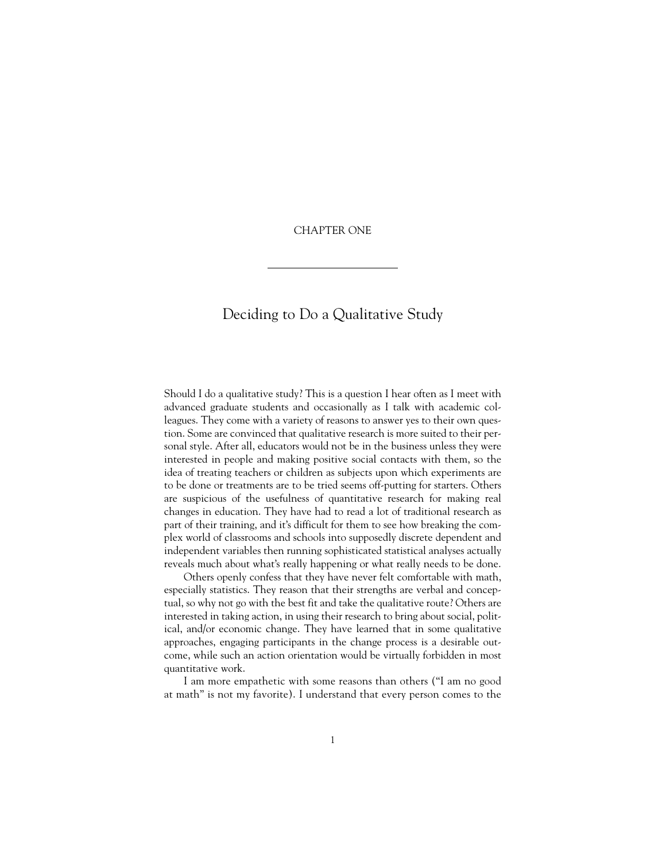CHAPTER ONE

# Deciding to Do a Qualitative Study

Should I do a qualitative study? This is a question I hear often as I meet with advanced graduate students and occasionally as I talk with academic colleagues. They come with a variety of reasons to answer yes to their own question. Some are convinced that qualitative research is more suited to their personal style. After all, educators would not be in the business unless they were interested in people and making positive social contacts with them, so the idea of treating teachers or children as subjects upon which experiments are to be done or treatments are to be tried seems off-putting for starters. Others are suspicious of the usefulness of quantitative research for making real changes in education. They have had to read a lot of traditional research as part of their training, and it's difficult for them to see how breaking the complex world of classrooms and schools into supposedly discrete dependent and independent variables then running sophisticated statistical analyses actually reveals much about what's really happening or what really needs to be done.

Others openly confess that they have never felt comfortable with math, especially statistics. They reason that their strengths are verbal and conceptual, so why not go with the best fit and take the qualitative route? Others are interested in taking action, in using their research to bring about social, political, and/or economic change. They have learned that in some qualitative approaches, engaging participants in the change process is a desirable outcome, while such an action orientation would be virtually forbidden in most quantitative work.

I am more empathetic with some reasons than others ("I am no good at math" is not my favorite). I understand that every person comes to the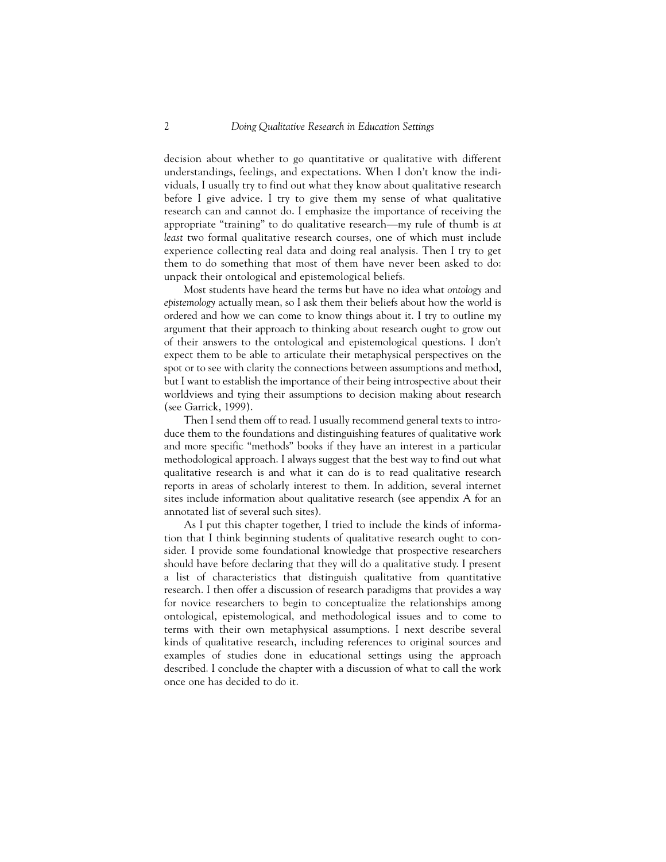decision about whether to go quantitative or qualitative with different understandings, feelings, and expectations. When I don't know the individuals, I usually try to find out what they know about qualitative research before I give advice. I try to give them my sense of what qualitative research can and cannot do. I emphasize the importance of receiving the appropriate "training" to do qualitative research—my rule of thumb is *at least* two formal qualitative research courses, one of which must include experience collecting real data and doing real analysis. Then I try to get them to do something that most of them have never been asked to do: unpack their ontological and epistemological beliefs.

Most students have heard the terms but have no idea what *ontology* and *epistemology* actually mean, so I ask them their beliefs about how the world is ordered and how we can come to know things about it. I try to outline my argument that their approach to thinking about research ought to grow out of their answers to the ontological and epistemological questions. I don't expect them to be able to articulate their metaphysical perspectives on the spot or to see with clarity the connections between assumptions and method, but I want to establish the importance of their being introspective about their worldviews and tying their assumptions to decision making about research (see Garrick, 1999).

Then I send them off to read. I usually recommend general texts to introduce them to the foundations and distinguishing features of qualitative work and more specific "methods" books if they have an interest in a particular methodological approach. I always suggest that the best way to find out what qualitative research is and what it can do is to read qualitative research reports in areas of scholarly interest to them. In addition, several internet sites include information about qualitative research (see appendix A for an annotated list of several such sites).

As I put this chapter together, I tried to include the kinds of information that I think beginning students of qualitative research ought to consider. I provide some foundational knowledge that prospective researchers should have before declaring that they will do a qualitative study. I present a list of characteristics that distinguish qualitative from quantitative research. I then offer a discussion of research paradigms that provides a way for novice researchers to begin to conceptualize the relationships among ontological, epistemological, and methodological issues and to come to terms with their own metaphysical assumptions. I next describe several kinds of qualitative research, including references to original sources and examples of studies done in educational settings using the approach described. I conclude the chapter with a discussion of what to call the work once one has decided to do it.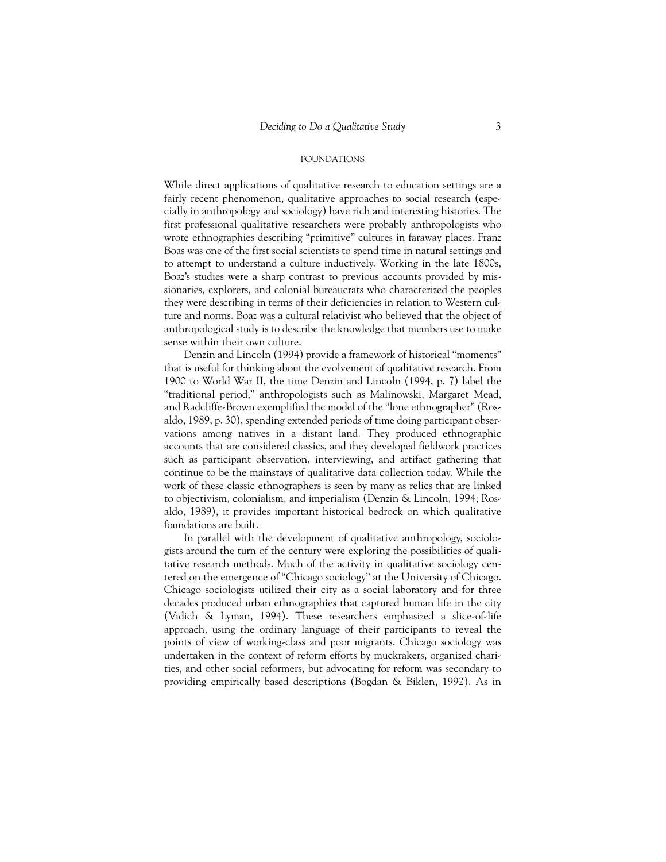#### FOUNDATIONS

While direct applications of qualitative research to education settings are a fairly recent phenomenon, qualitative approaches to social research (especially in anthropology and sociology) have rich and interesting histories. The first professional qualitative researchers were probably anthropologists who wrote ethnographies describing "primitive" cultures in faraway places. Franz Boas was one of the first social scientists to spend time in natural settings and to attempt to understand a culture inductively. Working in the late 1800s, Boaz's studies were a sharp contrast to previous accounts provided by missionaries, explorers, and colonial bureaucrats who characterized the peoples they were describing in terms of their deficiencies in relation to Western culture and norms. Boaz was a cultural relativist who believed that the object of anthropological study is to describe the knowledge that members use to make sense within their own culture.

Denzin and Lincoln (1994) provide a framework of historical "moments" that is useful for thinking about the evolvement of qualitative research. From 1900 to World War II, the time Denzin and Lincoln (1994, p. 7) label the "traditional period," anthropologists such as Malinowski, Margaret Mead, and Radcliffe-Brown exemplified the model of the "lone ethnographer" (Rosaldo, 1989, p. 30), spending extended periods of time doing participant observations among natives in a distant land. They produced ethnographic accounts that are considered classics, and they developed fieldwork practices such as participant observation, interviewing, and artifact gathering that continue to be the mainstays of qualitative data collection today. While the work of these classic ethnographers is seen by many as relics that are linked to objectivism, colonialism, and imperialism (Denzin & Lincoln, 1994; Rosaldo, 1989), it provides important historical bedrock on which qualitative foundations are built.

In parallel with the development of qualitative anthropology, sociologists around the turn of the century were exploring the possibilities of qualitative research methods. Much of the activity in qualitative sociology centered on the emergence of "Chicago sociology" at the University of Chicago. Chicago sociologists utilized their city as a social laboratory and for three decades produced urban ethnographies that captured human life in the city (Vidich & Lyman, 1994). These researchers emphasized a slice-of-life approach, using the ordinary language of their participants to reveal the points of view of working-class and poor migrants. Chicago sociology was undertaken in the context of reform efforts by muckrakers, organized charities, and other social reformers, but advocating for reform was secondary to providing empirically based descriptions (Bogdan & Biklen, 1992). As in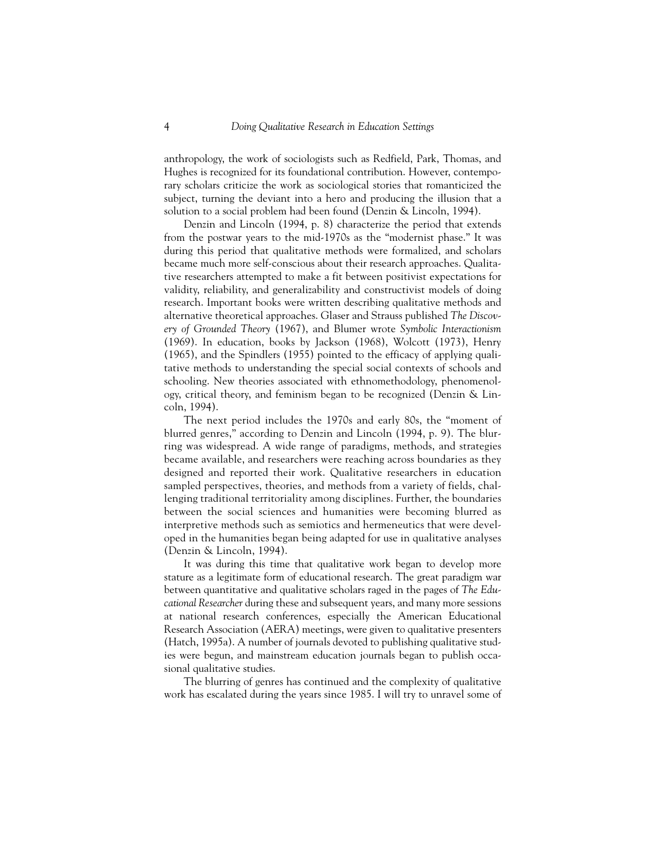anthropology, the work of sociologists such as Redfield, Park, Thomas, and Hughes is recognized for its foundational contribution. However, contemporary scholars criticize the work as sociological stories that romanticized the subject, turning the deviant into a hero and producing the illusion that a solution to a social problem had been found (Denzin & Lincoln, 1994).

Denzin and Lincoln (1994, p. 8) characterize the period that extends from the postwar years to the mid-1970s as the "modernist phase." It was during this period that qualitative methods were formalized, and scholars became much more self-conscious about their research approaches. Qualitative researchers attempted to make a fit between positivist expectations for validity, reliability, and generalizability and constructivist models of doing research. Important books were written describing qualitative methods and alternative theoretical approaches. Glaser and Strauss published *The Discovery of Grounded Theory* (1967), and Blumer wrote *Symbolic Interactionism* (1969). In education, books by Jackson (1968), Wolcott (1973), Henry (1965), and the Spindlers (1955) pointed to the efficacy of applying qualitative methods to understanding the special social contexts of schools and schooling. New theories associated with ethnomethodology, phenomenology, critical theory, and feminism began to be recognized (Denzin & Lincoln, 1994).

The next period includes the 1970s and early 80s, the "moment of blurred genres," according to Denzin and Lincoln (1994, p. 9). The blurring was widespread. A wide range of paradigms, methods, and strategies became available, and researchers were reaching across boundaries as they designed and reported their work. Qualitative researchers in education sampled perspectives, theories, and methods from a variety of fields, challenging traditional territoriality among disciplines. Further, the boundaries between the social sciences and humanities were becoming blurred as interpretive methods such as semiotics and hermeneutics that were developed in the humanities began being adapted for use in qualitative analyses (Denzin & Lincoln, 1994).

It was during this time that qualitative work began to develop more stature as a legitimate form of educational research. The great paradigm war between quantitative and qualitative scholars raged in the pages of *The Educational Researcher* during these and subsequent years, and many more sessions at national research conferences, especially the American Educational Research Association (AERA) meetings, were given to qualitative presenters (Hatch, 1995a). A number of journals devoted to publishing qualitative studies were begun, and mainstream education journals began to publish occasional qualitative studies.

The blurring of genres has continued and the complexity of qualitative work has escalated during the years since 1985. I will try to unravel some of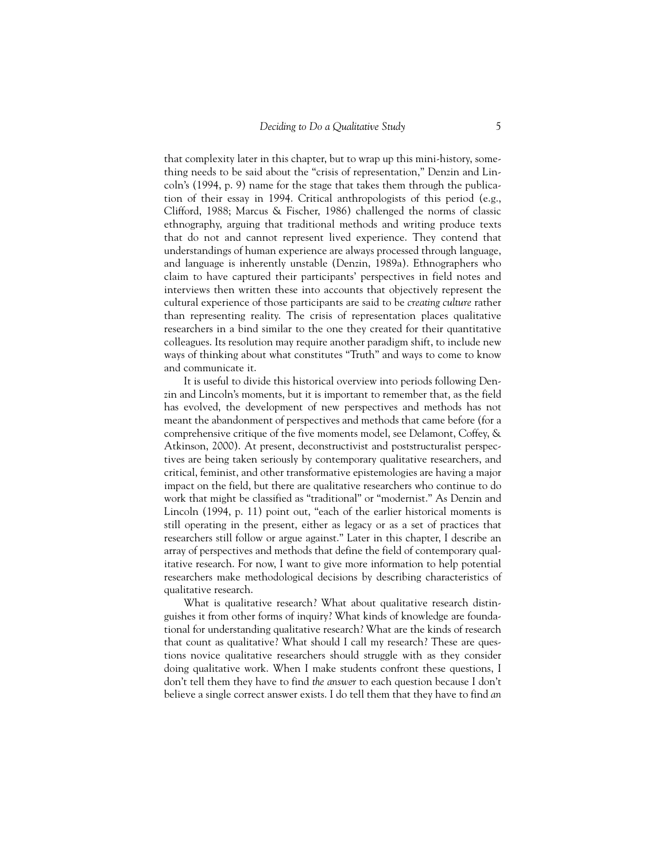that complexity later in this chapter, but to wrap up this mini-history, something needs to be said about the "crisis of representation," Denzin and Lincoln's (1994, p. 9) name for the stage that takes them through the publication of their essay in 1994. Critical anthropologists of this period (e.g., Clifford, 1988; Marcus & Fischer, 1986) challenged the norms of classic ethnography, arguing that traditional methods and writing produce texts that do not and cannot represent lived experience. They contend that understandings of human experience are always processed through language, and language is inherently unstable (Denzin, 1989a). Ethnographers who claim to have captured their participants' perspectives in field notes and interviews then written these into accounts that objectively represent the cultural experience of those participants are said to be *creating culture* rather than representing reality. The crisis of representation places qualitative researchers in a bind similar to the one they created for their quantitative colleagues. Its resolution may require another paradigm shift, to include new ways of thinking about what constitutes "Truth" and ways to come to know and communicate it.

It is useful to divide this historical overview into periods following Denzin and Lincoln's moments, but it is important to remember that, as the field has evolved, the development of new perspectives and methods has not meant the abandonment of perspectives and methods that came before (for a comprehensive critique of the five moments model, see Delamont, Coffey, & Atkinson, 2000). At present, deconstructivist and poststructuralist perspectives are being taken seriously by contemporary qualitative researchers, and critical, feminist, and other transformative epistemologies are having a major impact on the field, but there are qualitative researchers who continue to do work that might be classified as "traditional" or "modernist." As Denzin and Lincoln (1994, p. 11) point out, "each of the earlier historical moments is still operating in the present, either as legacy or as a set of practices that researchers still follow or argue against." Later in this chapter, I describe an array of perspectives and methods that define the field of contemporary qualitative research. For now, I want to give more information to help potential researchers make methodological decisions by describing characteristics of qualitative research.

What is qualitative research? What about qualitative research distinguishes it from other forms of inquiry? What kinds of knowledge are foundational for understanding qualitative research? What are the kinds of research that count as qualitative? What should I call my research? These are questions novice qualitative researchers should struggle with as they consider doing qualitative work. When I make students confront these questions, I don't tell them they have to find *the answer* to each question because I don't believe a single correct answer exists. I do tell them that they have to find *an*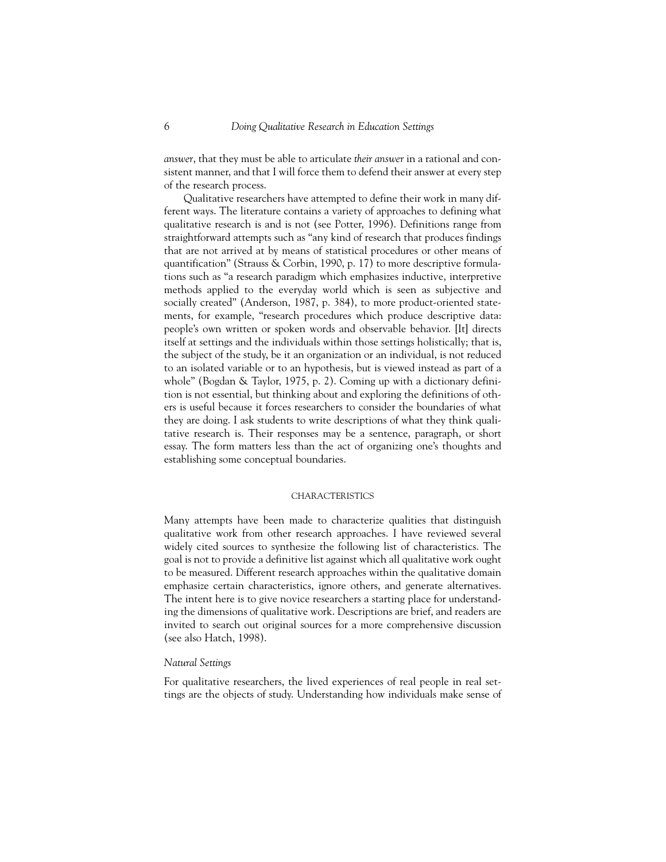*answer*, that they must be able to articulate *their answer* in a rational and consistent manner, and that I will force them to defend their answer at every step of the research process.

Qualitative researchers have attempted to define their work in many different ways. The literature contains a variety of approaches to defining what qualitative research is and is not (see Potter, 1996). Definitions range from straightforward attempts such as "any kind of research that produces findings that are not arrived at by means of statistical procedures or other means of quantification" (Strauss & Corbin, 1990, p. 17) to more descriptive formulations such as "a research paradigm which emphasizes inductive, interpretive methods applied to the everyday world which is seen as subjective and socially created" (Anderson, 1987, p. 384), to more product-oriented statements, for example, "research procedures which produce descriptive data: people's own written or spoken words and observable behavior. [It] directs itself at settings and the individuals within those settings holistically; that is, the subject of the study, be it an organization or an individual, is not reduced to an isolated variable or to an hypothesis, but is viewed instead as part of a whole" (Bogdan & Taylor, 1975, p. 2). Coming up with a dictionary definition is not essential, but thinking about and exploring the definitions of others is useful because it forces researchers to consider the boundaries of what they are doing. I ask students to write descriptions of what they think qualitative research is. Their responses may be a sentence, paragraph, or short essay. The form matters less than the act of organizing one's thoughts and establishing some conceptual boundaries.

### **CHARACTERISTICS**

Many attempts have been made to characterize qualities that distinguish qualitative work from other research approaches. I have reviewed several widely cited sources to synthesize the following list of characteristics. The goal is not to provide a definitive list against which all qualitative work ought to be measured. Different research approaches within the qualitative domain emphasize certain characteristics, ignore others, and generate alternatives. The intent here is to give novice researchers a starting place for understanding the dimensions of qualitative work. Descriptions are brief, and readers are invited to search out original sources for a more comprehensive discussion (see also Hatch, 1998).

#### *Natural Settings*

For qualitative researchers, the lived experiences of real people in real settings are the objects of study. Understanding how individuals make sense of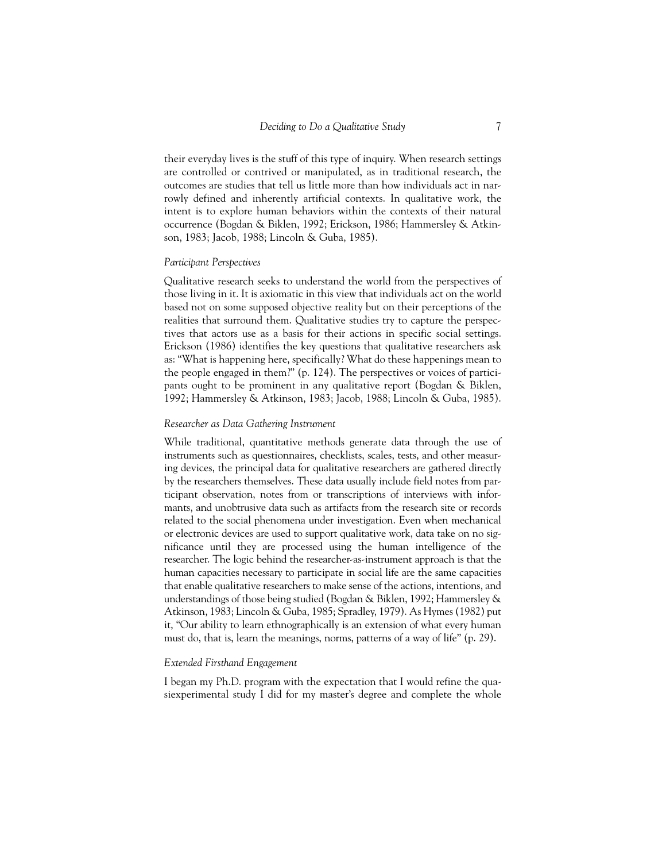their everyday lives is the stuff of this type of inquiry. When research settings are controlled or contrived or manipulated, as in traditional research, the outcomes are studies that tell us little more than how individuals act in narrowly defined and inherently artificial contexts. In qualitative work, the intent is to explore human behaviors within the contexts of their natural occurrence (Bogdan & Biklen, 1992; Erickson, 1986; Hammersley & Atkinson, 1983; Jacob, 1988; Lincoln & Guba, 1985).

### *Participant Perspectives*

Qualitative research seeks to understand the world from the perspectives of those living in it. It is axiomatic in this view that individuals act on the world based not on some supposed objective reality but on their perceptions of the realities that surround them. Qualitative studies try to capture the perspectives that actors use as a basis for their actions in specific social settings. Erickson (1986) identifies the key questions that qualitative researchers ask as: "What is happening here, specifically? What do these happenings mean to the people engaged in them?" (p. 124). The perspectives or voices of participants ought to be prominent in any qualitative report (Bogdan & Biklen, 1992; Hammersley & Atkinson, 1983; Jacob, 1988; Lincoln & Guba, 1985).

### *Researcher as Data Gathering Instrument*

While traditional, quantitative methods generate data through the use of instruments such as questionnaires, checklists, scales, tests, and other measuring devices, the principal data for qualitative researchers are gathered directly by the researchers themselves. These data usually include field notes from participant observation, notes from or transcriptions of interviews with informants, and unobtrusive data such as artifacts from the research site or records related to the social phenomena under investigation. Even when mechanical or electronic devices are used to support qualitative work, data take on no significance until they are processed using the human intelligence of the researcher. The logic behind the researcher-as-instrument approach is that the human capacities necessary to participate in social life are the same capacities that enable qualitative researchers to make sense of the actions, intentions, and understandings of those being studied (Bogdan & Biklen, 1992; Hammersley & Atkinson, 1983; Lincoln & Guba, 1985; Spradley, 1979). As Hymes (1982) put it, "Our ability to learn ethnographically is an extension of what every human must do, that is, learn the meanings, norms, patterns of a way of life" (p. 29).

### *Extended Firsthand Engagement*

I began my Ph.D. program with the expectation that I would refine the quasiexperimental study I did for my master's degree and complete the whole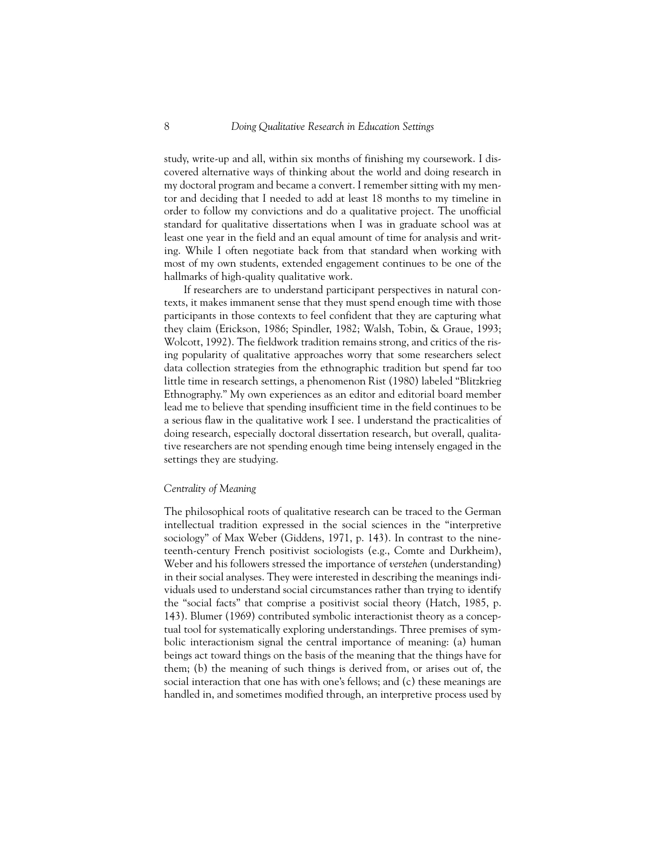study, write-up and all, within six months of finishing my coursework. I discovered alternative ways of thinking about the world and doing research in my doctoral program and became a convert. I remember sitting with my mentor and deciding that I needed to add at least 18 months to my timeline in order to follow my convictions and do a qualitative project. The unofficial standard for qualitative dissertations when I was in graduate school was at least one year in the field and an equal amount of time for analysis and writing. While I often negotiate back from that standard when working with most of my own students, extended engagement continues to be one of the hallmarks of high-quality qualitative work.

If researchers are to understand participant perspectives in natural contexts, it makes immanent sense that they must spend enough time with those participants in those contexts to feel confident that they are capturing what they claim (Erickson, 1986; Spindler, 1982; Walsh, Tobin, & Graue, 1993; Wolcott, 1992). The fieldwork tradition remains strong, and critics of the rising popularity of qualitative approaches worry that some researchers select data collection strategies from the ethnographic tradition but spend far too little time in research settings, a phenomenon Rist (1980) labeled "Blitzkrieg Ethnography." My own experiences as an editor and editorial board member lead me to believe that spending insufficient time in the field continues to be a serious flaw in the qualitative work I see. I understand the practicalities of doing research, especially doctoral dissertation research, but overall, qualitative researchers are not spending enough time being intensely engaged in the settings they are studying.

### *Centrality of Meaning*

The philosophical roots of qualitative research can be traced to the German intellectual tradition expressed in the social sciences in the "interpretive sociology" of Max Weber (Giddens, 1971, p. 143). In contrast to the nineteenth-century French positivist sociologists (e.g., Comte and Durkheim), Weber and his followers stressed the importance of *verstehen* (understanding) in their social analyses. They were interested in describing the meanings individuals used to understand social circumstances rather than trying to identify the "social facts" that comprise a positivist social theory (Hatch, 1985, p. 143). Blumer (1969) contributed symbolic interactionist theory as a conceptual tool for systematically exploring understandings. Three premises of symbolic interactionism signal the central importance of meaning: (a) human beings act toward things on the basis of the meaning that the things have for them; (b) the meaning of such things is derived from, or arises out of, the social interaction that one has with one's fellows; and (c) these meanings are handled in, and sometimes modified through, an interpretive process used by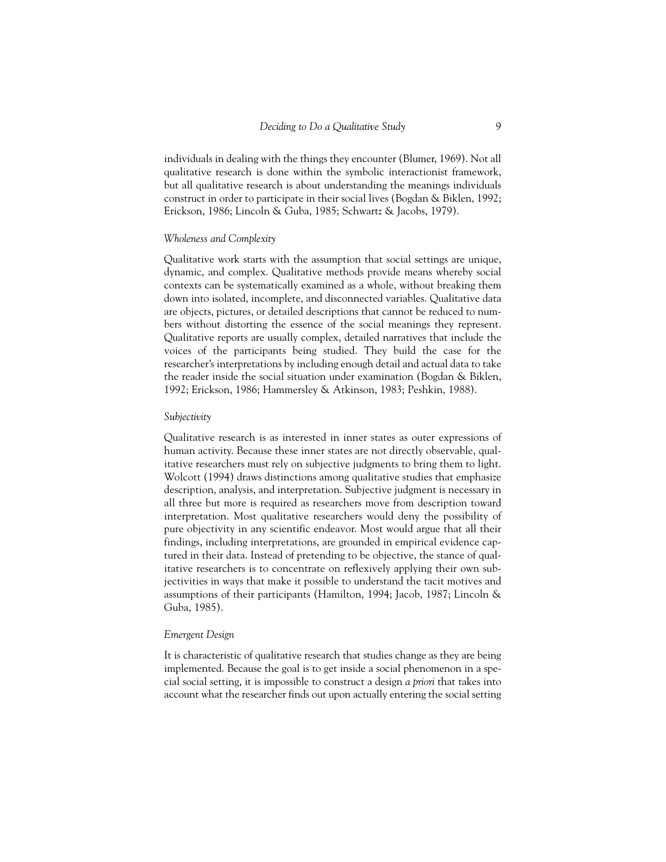individuals in dealing with the things they encounter (Blumer, 1969). Not all qualitative research is done within the symbolic interactionist framework, but all qualitative research is about understanding the meanings individuals construct in order to participate in their social lives (Bogdan & Biklen, 1992; Erickson, 1986; Lincoln & Guba, 1985; Schwartz & Jacobs, 1979).

### *Wholeness and Complexity*

Qualitative work starts with the assumption that social settings are unique, dynamic, and complex. Qualitative methods provide means whereby social contexts can be systematically examined as a whole, without breaking them down into isolated, incomplete, and disconnected variables. Qualitative data are objects, pictures, or detailed descriptions that cannot be reduced to numbers without distorting the essence of the social meanings they represent. Qualitative reports are usually complex, detailed narratives that include the voices of the participants being studied. They build the case for the researcher's interpretations by including enough detail and actual data to take the reader inside the social situation under examination (Bogdan & Biklen, 1992; Erickson, 1986; Hammersley & Atkinson, 1983; Peshkin, 1988).

#### *Subjectivity*

Qualitative research is as interested in inner states as outer expressions of human activity. Because these inner states are not directly observable, qualitative researchers must rely on subjective judgments to bring them to light. Wolcott (1994) draws distinctions among qualitative studies that emphasize description, analysis, and interpretation. Subjective judgment is necessary in all three but more is required as researchers move from description toward interpretation. Most qualitative researchers would deny the possibility of pure objectivity in any scientific endeavor. Most would argue that all their findings, including interpretations, are grounded in empirical evidence captured in their data. Instead of pretending to be objective, the stance of qualitative researchers is to concentrate on reflexively applying their own subjectivities in ways that make it possible to understand the tacit motives and assumptions of their participants (Hamilton, 1994; Jacob, 1987; Lincoln & Guba, 1985).

### *Emergent Design*

It is characteristic of qualitative research that studies change as they are being implemented. Because the goal is to get inside a social phenomenon in a special social setting, it is impossible to construct a design *a priori* that takes into account what the researcher finds out upon actually entering the social setting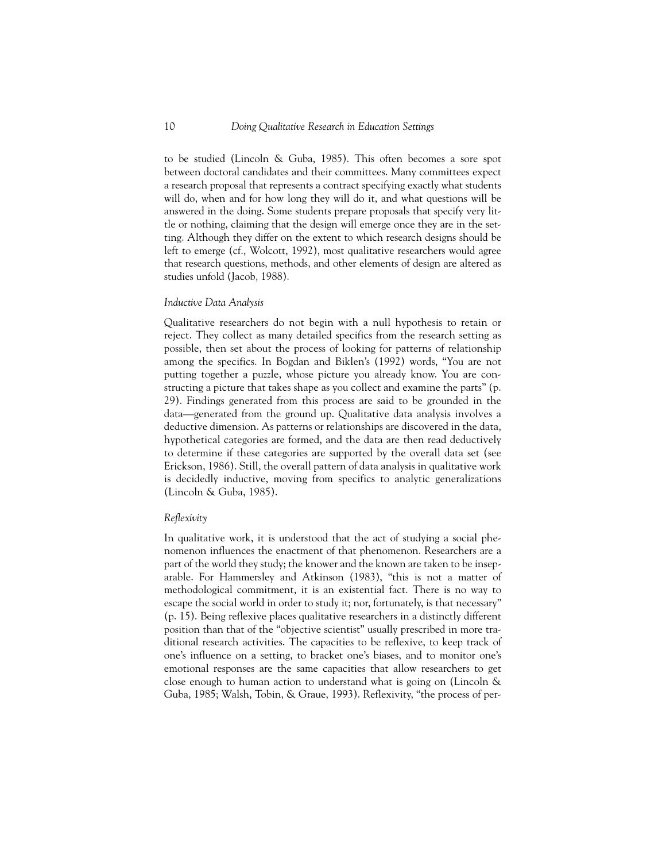to be studied (Lincoln & Guba, 1985). This often becomes a sore spot between doctoral candidates and their committees. Many committees expect a research proposal that represents a contract specifying exactly what students will do, when and for how long they will do it, and what questions will be answered in the doing. Some students prepare proposals that specify very little or nothing, claiming that the design will emerge once they are in the setting. Although they differ on the extent to which research designs should be left to emerge (cf., Wolcott, 1992), most qualitative researchers would agree that research questions, methods, and other elements of design are altered as studies unfold (Jacob, 1988).

### *Inductive Data Analysis*

Qualitative researchers do not begin with a null hypothesis to retain or reject. They collect as many detailed specifics from the research setting as possible, then set about the process of looking for patterns of relationship among the specifics. In Bogdan and Biklen's (1992) words, "You are not putting together a puzzle, whose picture you already know. You are constructing a picture that takes shape as you collect and examine the parts" (p. 29). Findings generated from this process are said to be grounded in the data—generated from the ground up. Qualitative data analysis involves a deductive dimension. As patterns or relationships are discovered in the data, hypothetical categories are formed, and the data are then read deductively to determine if these categories are supported by the overall data set (see Erickson, 1986). Still, the overall pattern of data analysis in qualitative work is decidedly inductive, moving from specifics to analytic generalizations (Lincoln & Guba, 1985).

### *Reflexivity*

In qualitative work, it is understood that the act of studying a social phenomenon influences the enactment of that phenomenon. Researchers are a part of the world they study; the knower and the known are taken to be inseparable. For Hammersley and Atkinson (1983), "this is not a matter of methodological commitment, it is an existential fact. There is no way to escape the social world in order to study it; nor, fortunately, is that necessary" (p. 15). Being reflexive places qualitative researchers in a distinctly different position than that of the "objective scientist" usually prescribed in more traditional research activities. The capacities to be reflexive, to keep track of one's influence on a setting, to bracket one's biases, and to monitor one's emotional responses are the same capacities that allow researchers to get close enough to human action to understand what is going on (Lincoln & Guba, 1985; Walsh, Tobin, & Graue, 1993). Reflexivity, "the process of per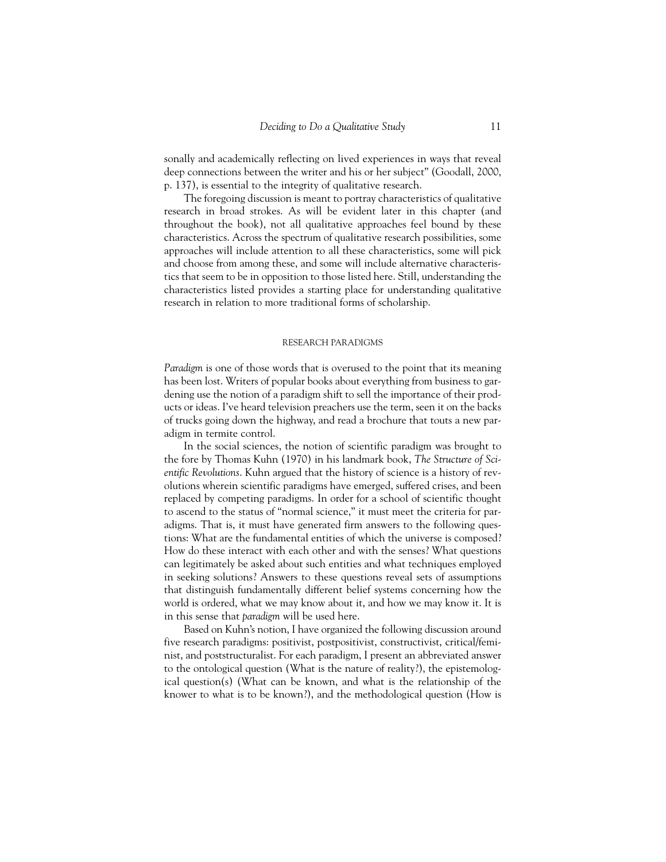sonally and academically reflecting on lived experiences in ways that reveal deep connections between the writer and his or her subject" (Goodall, 2000, p. 137), is essential to the integrity of qualitative research.

The foregoing discussion is meant to portray characteristics of qualitative research in broad strokes. As will be evident later in this chapter (and throughout the book), not all qualitative approaches feel bound by these characteristics. Across the spectrum of qualitative research possibilities, some approaches will include attention to all these characteristics, some will pick and choose from among these, and some will include alternative characteristics that seem to be in opposition to those listed here. Still, understanding the characteristics listed provides a starting place for understanding qualitative research in relation to more traditional forms of scholarship.

#### RESEARCH PARADIGMS

*Paradigm* is one of those words that is overused to the point that its meaning has been lost. Writers of popular books about everything from business to gardening use the notion of a paradigm shift to sell the importance of their products or ideas. I've heard television preachers use the term, seen it on the backs of trucks going down the highway, and read a brochure that touts a new paradigm in termite control.

In the social sciences, the notion of scientific paradigm was brought to the fore by Thomas Kuhn (1970) in his landmark book, *The Structure of Scientific Revolutions*. Kuhn argued that the history of science is a history of revolutions wherein scientific paradigms have emerged, suffered crises, and been replaced by competing paradigms. In order for a school of scientific thought to ascend to the status of "normal science," it must meet the criteria for paradigms. That is, it must have generated firm answers to the following questions: What are the fundamental entities of which the universe is composed? How do these interact with each other and with the senses? What questions can legitimately be asked about such entities and what techniques employed in seeking solutions? Answers to these questions reveal sets of assumptions that distinguish fundamentally different belief systems concerning how the world is ordered, what we may know about it, and how we may know it. It is in this sense that *paradigm* will be used here.

Based on Kuhn's notion, I have organized the following discussion around five research paradigms: positivist, postpositivist, constructivist, critical/feminist, and poststructuralist. For each paradigm, I present an abbreviated answer to the ontological question (What is the nature of reality?), the epistemological question(s) (What can be known, and what is the relationship of the knower to what is to be known?), and the methodological question (How is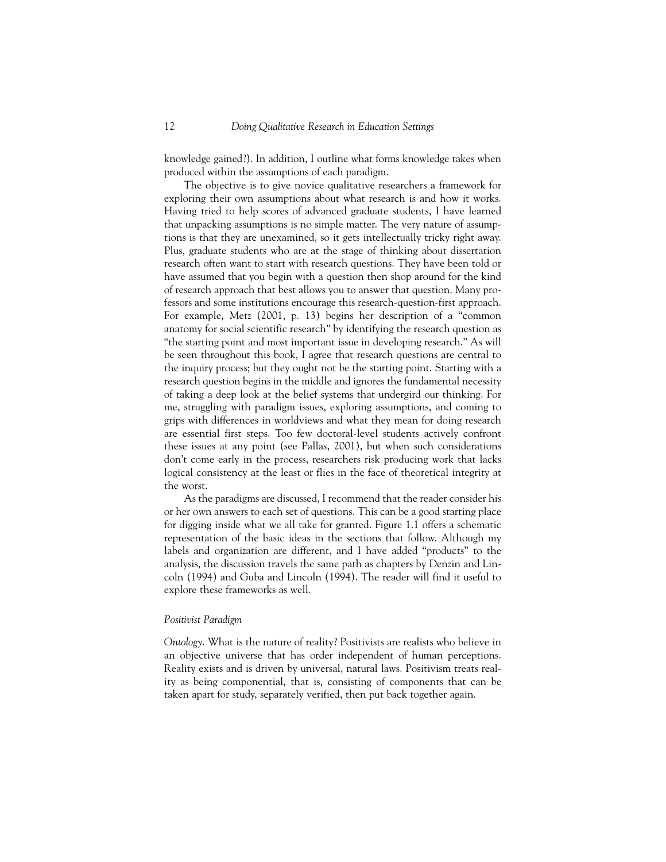knowledge gained?). In addition, I outline what forms knowledge takes when produced within the assumptions of each paradigm.

The objective is to give novice qualitative researchers a framework for exploring their own assumptions about what research is and how it works. Having tried to help scores of advanced graduate students, I have learned that unpacking assumptions is no simple matter. The very nature of assumptions is that they are unexamined, so it gets intellectually tricky right away. Plus, graduate students who are at the stage of thinking about dissertation research often want to start with research questions. They have been told or have assumed that you begin with a question then shop around for the kind of research approach that best allows you to answer that question. Many professors and some institutions encourage this research-question-first approach. For example, Metz (2001, p. 13) begins her description of a "common anatomy for social scientific research" by identifying the research question as "the starting point and most important issue in developing research." As will be seen throughout this book, I agree that research questions are central to the inquiry process; but they ought not be the starting point. Starting with a research question begins in the middle and ignores the fundamental necessity of taking a deep look at the belief systems that undergird our thinking. For me, struggling with paradigm issues, exploring assumptions, and coming to grips with differences in worldviews and what they mean for doing research are essential first steps. Too few doctoral-level students actively confront these issues at any point (see Pallas, 2001), but when such considerations don't come early in the process, researchers risk producing work that lacks logical consistency at the least or flies in the face of theoretical integrity at the worst.

As the paradigms are discussed, I recommend that the reader consider his or her own answers to each set of questions. This can be a good starting place for digging inside what we all take for granted. Figure 1.1 offers a schematic representation of the basic ideas in the sections that follow. Although my labels and organization are different, and I have added "products" to the analysis, the discussion travels the same path as chapters by Denzin and Lincoln (1994) and Guba and Lincoln (1994). The reader will find it useful to explore these frameworks as well.

#### *Positivist Paradigm*

*Ontology*. What is the nature of reality? Positivists are realists who believe in an objective universe that has order independent of human perceptions. Reality exists and is driven by universal, natural laws. Positivism treats reality as being componential, that is, consisting of components that can be taken apart for study, separately verified, then put back together again.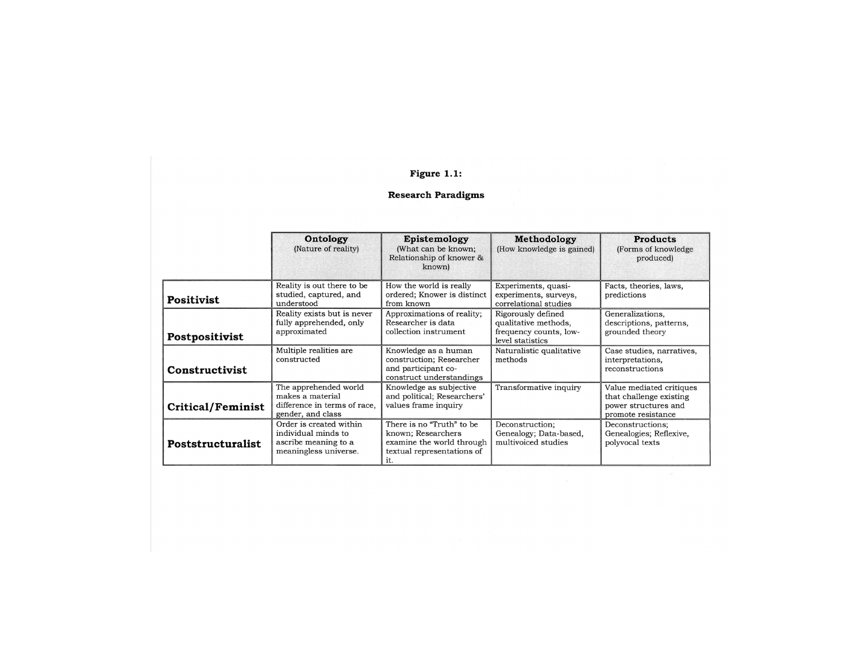# Figure 1.1:

## **Research Paradigms**

|                          | Ontology<br>(Nature of reality)                                                                 | Epistemology<br>(What can be known;<br>Relationship of knower &<br>known)                                         | Methodology<br>(How knowledge is gained)                                                 | <b>Products</b><br>(Forms of knowledge)<br>produced)                                              |
|--------------------------|-------------------------------------------------------------------------------------------------|-------------------------------------------------------------------------------------------------------------------|------------------------------------------------------------------------------------------|---------------------------------------------------------------------------------------------------|
| Positivist               | Reality is out there to be<br>studied, captured, and<br>understood                              | How the world is really<br>ordered; Knower is distinct<br>from known                                              | Experiments, quasi-<br>experiments, surveys,<br>correlational studies                    | Facts, theories, laws,<br>predictions                                                             |
| Postpositivist           | Reality exists but is never<br>fully apprehended, only<br>approximated                          | Approximations of reality;<br>Researcher is data<br>collection instrument                                         | Rigorously defined<br>qualitative methods,<br>frequency counts, low-<br>level statistics | Generalizations,<br>descriptions, patterns,<br>grounded theory                                    |
| Constructivist           | Multiple realities are<br>constructed                                                           | Knowledge as a human<br>construction; Researcher<br>and participant co-<br>construct understandings               | Naturalistic qualitative<br>methods                                                      | Case studies, narratives,<br>interpretations,<br>reconstructions                                  |
| <b>Critical/Feminist</b> | The apprehended world<br>makes a material<br>difference in terms of race,<br>gender, and class  | Knowledge as subjective<br>and political; Researchers'<br>values frame inquiry                                    | Transformative inquiry                                                                   | Value mediated critiques<br>that challenge existing<br>power structures and<br>promote resistance |
| Poststructuralist        | Order is created within<br>individual minds to<br>ascribe meaning to a<br>meaningless universe. | There is no "Truth" to be<br>known; Researchers<br>examine the world through<br>textual representations of<br>it. | Deconstruction;<br>Genealogy; Data-based,<br>multivoiced studies                         | Deconstructions;<br>Genealogies; Reflexive,<br>polyvocal texts                                    |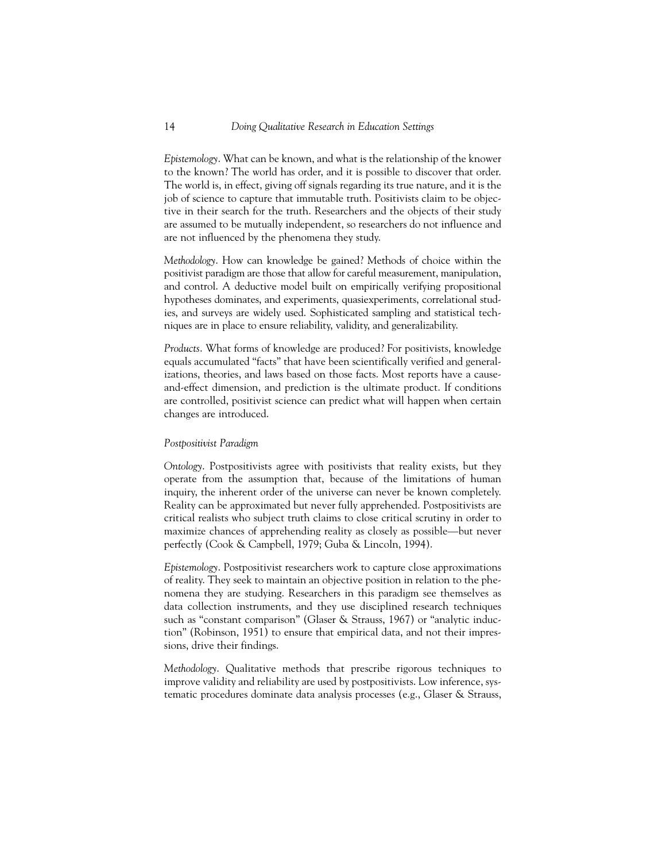*Epistemology*. What can be known, and what is the relationship of the knower to the known? The world has order, and it is possible to discover that order. The world is, in effect, giving off signals regarding its true nature, and it is the job of science to capture that immutable truth. Positivists claim to be objective in their search for the truth. Researchers and the objects of their study are assumed to be mutually independent, so researchers do not influence and are not influenced by the phenomena they study.

*Methodology*. How can knowledge be gained? Methods of choice within the positivist paradigm are those that allow for careful measurement, manipulation, and control. A deductive model built on empirically verifying propositional hypotheses dominates, and experiments, quasiexperiments, correlational studies, and surveys are widely used. Sophisticated sampling and statistical techniques are in place to ensure reliability, validity, and generalizability.

*Products*. What forms of knowledge are produced? For positivists, knowledge equals accumulated "facts" that have been scientifically verified and generalizations, theories, and laws based on those facts. Most reports have a causeand-effect dimension, and prediction is the ultimate product. If conditions are controlled, positivist science can predict what will happen when certain changes are introduced.

### *Postpositivist Paradigm*

*Ontology*. Postpositivists agree with positivists that reality exists, but they operate from the assumption that, because of the limitations of human inquiry, the inherent order of the universe can never be known completely. Reality can be approximated but never fully apprehended. Postpositivists are critical realists who subject truth claims to close critical scrutiny in order to maximize chances of apprehending reality as closely as possible—but never perfectly (Cook & Campbell, 1979; Guba & Lincoln, 1994).

*Epistemology*. Postpositivist researchers work to capture close approximations of reality. They seek to maintain an objective position in relation to the phenomena they are studying. Researchers in this paradigm see themselves as data collection instruments, and they use disciplined research techniques such as "constant comparison" (Glaser & Strauss, 1967) or "analytic induction" (Robinson, 1951) to ensure that empirical data, and not their impressions, drive their findings.

*Methodology*. Qualitative methods that prescribe rigorous techniques to improve validity and reliability are used by postpositivists. Low inference, systematic procedures dominate data analysis processes (e.g., Glaser & Strauss,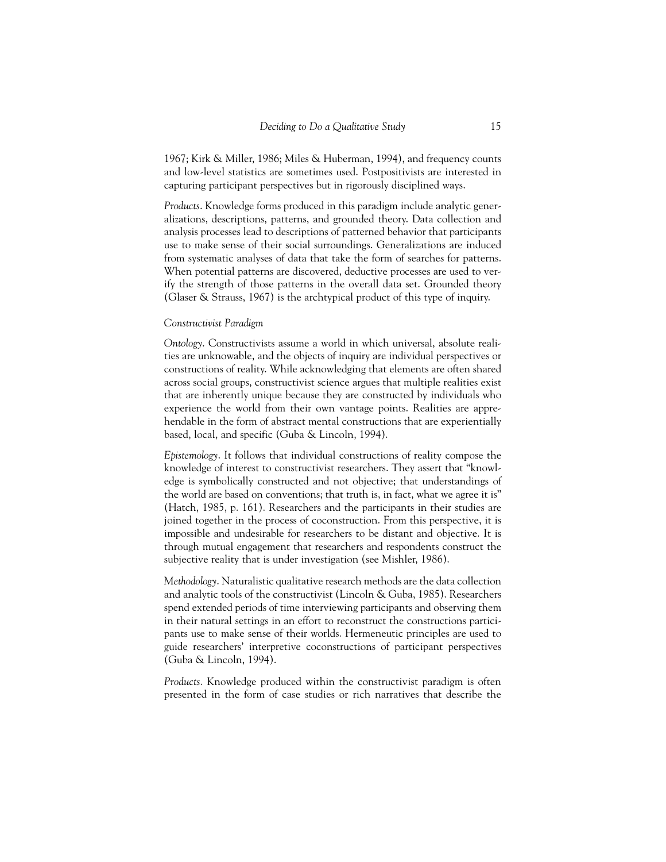1967; Kirk & Miller, 1986; Miles & Huberman, 1994), and frequency counts and low-level statistics are sometimes used. Postpositivists are interested in capturing participant perspectives but in rigorously disciplined ways.

*Products*. Knowledge forms produced in this paradigm include analytic generalizations, descriptions, patterns, and grounded theory. Data collection and analysis processes lead to descriptions of patterned behavior that participants use to make sense of their social surroundings. Generalizations are induced from systematic analyses of data that take the form of searches for patterns. When potential patterns are discovered, deductive processes are used to verify the strength of those patterns in the overall data set. Grounded theory (Glaser & Strauss, 1967) is the archtypical product of this type of inquiry.

### *Constructivist Paradigm*

*Ontology*. Constructivists assume a world in which universal, absolute realities are unknowable, and the objects of inquiry are individual perspectives or constructions of reality. While acknowledging that elements are often shared across social groups, constructivist science argues that multiple realities exist that are inherently unique because they are constructed by individuals who experience the world from their own vantage points. Realities are apprehendable in the form of abstract mental constructions that are experientially based, local, and specific (Guba & Lincoln, 1994).

*Epistemology*. It follows that individual constructions of reality compose the knowledge of interest to constructivist researchers. They assert that "knowledge is symbolically constructed and not objective; that understandings of the world are based on conventions; that truth is, in fact, what we agree it is" (Hatch, 1985, p. 161). Researchers and the participants in their studies are joined together in the process of coconstruction. From this perspective, it is impossible and undesirable for researchers to be distant and objective. It is through mutual engagement that researchers and respondents construct the subjective reality that is under investigation (see Mishler, 1986).

*Methodology*. Naturalistic qualitative research methods are the data collection and analytic tools of the constructivist (Lincoln & Guba, 1985). Researchers spend extended periods of time interviewing participants and observing them in their natural settings in an effort to reconstruct the constructions participants use to make sense of their worlds. Hermeneutic principles are used to guide researchers' interpretive coconstructions of participant perspectives (Guba & Lincoln, 1994).

*Products*. Knowledge produced within the constructivist paradigm is often presented in the form of case studies or rich narratives that describe the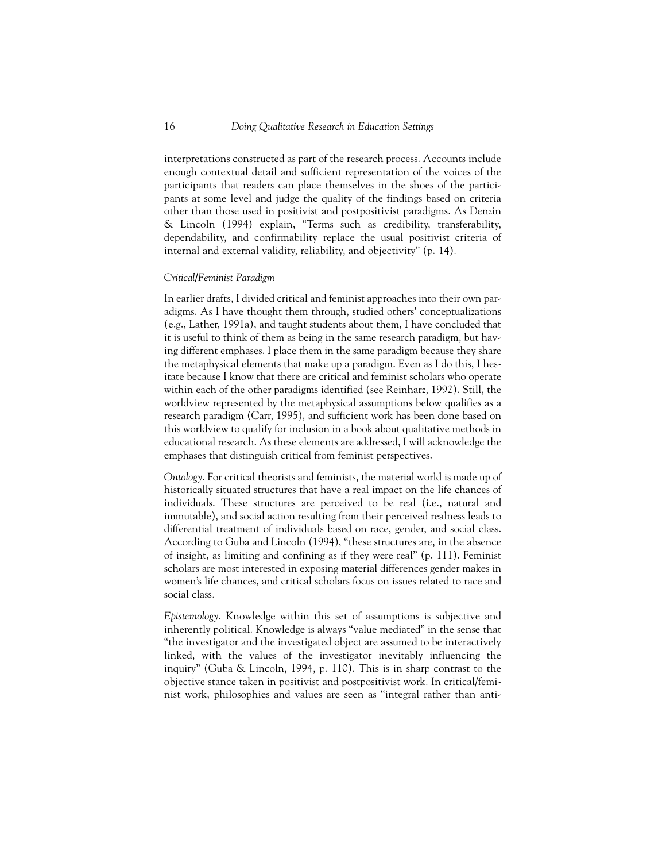interpretations constructed as part of the research process. Accounts include enough contextual detail and sufficient representation of the voices of the participants that readers can place themselves in the shoes of the participants at some level and judge the quality of the findings based on criteria other than those used in positivist and postpositivist paradigms. As Denzin & Lincoln (1994) explain, "Terms such as credibility, transferability, dependability, and confirmability replace the usual positivist criteria of internal and external validity, reliability, and objectivity" (p. 14).

### *Critical/Feminist Paradigm*

In earlier drafts, I divided critical and feminist approaches into their own paradigms. As I have thought them through, studied others' conceptualizations (e.g., Lather, 1991a), and taught students about them, I have concluded that it is useful to think of them as being in the same research paradigm, but having different emphases. I place them in the same paradigm because they share the metaphysical elements that make up a paradigm. Even as I do this, I hesitate because I know that there are critical and feminist scholars who operate within each of the other paradigms identified (see Reinharz, 1992). Still, the worldview represented by the metaphysical assumptions below qualifies as a research paradigm (Carr, 1995), and sufficient work has been done based on this worldview to qualify for inclusion in a book about qualitative methods in educational research. As these elements are addressed, I will acknowledge the emphases that distinguish critical from feminist perspectives.

*Ontology*. For critical theorists and feminists, the material world is made up of historically situated structures that have a real impact on the life chances of individuals. These structures are perceived to be real (i.e., natural and immutable), and social action resulting from their perceived realness leads to differential treatment of individuals based on race, gender, and social class. According to Guba and Lincoln (1994), "these structures are, in the absence of insight, as limiting and confining as if they were real" (p. 111). Feminist scholars are most interested in exposing material differences gender makes in women's life chances, and critical scholars focus on issues related to race and social class.

*Epistemology*. Knowledge within this set of assumptions is subjective and inherently political. Knowledge is always "value mediated" in the sense that "the investigator and the investigated object are assumed to be interactively linked, with the values of the investigator inevitably influencing the inquiry" (Guba & Lincoln, 1994, p. 110). This is in sharp contrast to the objective stance taken in positivist and postpositivist work. In critical/feminist work, philosophies and values are seen as "integral rather than anti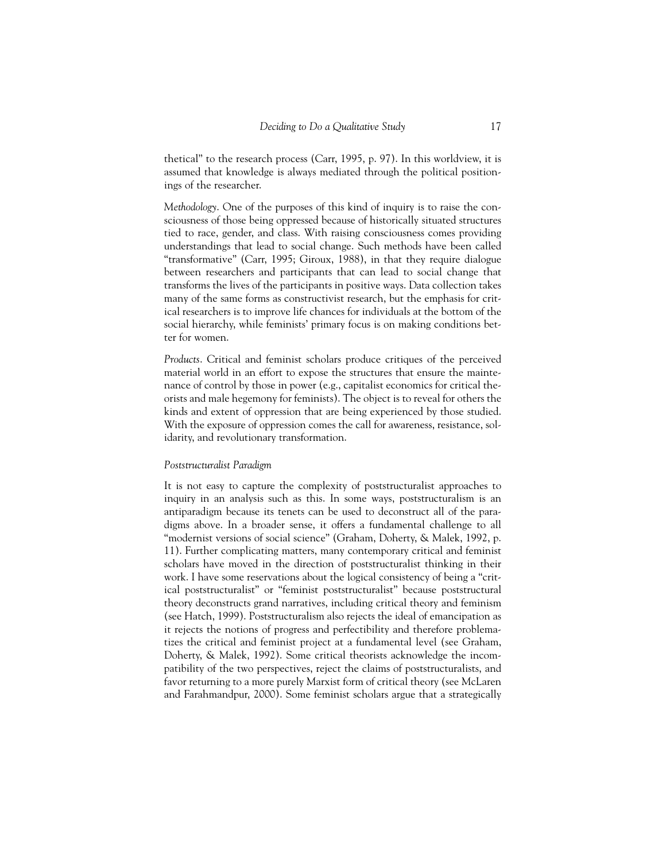thetical" to the research process (Carr, 1995, p. 97). In this worldview, it is assumed that knowledge is always mediated through the political positionings of the researcher.

*Methodology*. One of the purposes of this kind of inquiry is to raise the consciousness of those being oppressed because of historically situated structures tied to race, gender, and class. With raising consciousness comes providing understandings that lead to social change. Such methods have been called "transformative" (Carr, 1995; Giroux, 1988), in that they require dialogue between researchers and participants that can lead to social change that transforms the lives of the participants in positive ways. Data collection takes many of the same forms as constructivist research, but the emphasis for critical researchers is to improve life chances for individuals at the bottom of the social hierarchy, while feminists' primary focus is on making conditions better for women.

*Products*. Critical and feminist scholars produce critiques of the perceived material world in an effort to expose the structures that ensure the maintenance of control by those in power (e.g., capitalist economics for critical theorists and male hegemony for feminists). The object is to reveal for others the kinds and extent of oppression that are being experienced by those studied. With the exposure of oppression comes the call for awareness, resistance, solidarity, and revolutionary transformation.

### *Poststructuralist Paradigm*

It is not easy to capture the complexity of poststructuralist approaches to inquiry in an analysis such as this. In some ways, poststructuralism is an antiparadigm because its tenets can be used to deconstruct all of the paradigms above. In a broader sense, it offers a fundamental challenge to all "modernist versions of social science" (Graham, Doherty, & Malek, 1992, p. 11). Further complicating matters, many contemporary critical and feminist scholars have moved in the direction of poststructuralist thinking in their work. I have some reservations about the logical consistency of being a "critical poststructuralist" or "feminist poststructuralist" because poststructural theory deconstructs grand narratives, including critical theory and feminism (see Hatch, 1999). Poststructuralism also rejects the ideal of emancipation as it rejects the notions of progress and perfectibility and therefore problematizes the critical and feminist project at a fundamental level (see Graham, Doherty, & Malek, 1992). Some critical theorists acknowledge the incompatibility of the two perspectives, reject the claims of poststructuralists, and favor returning to a more purely Marxist form of critical theory (see McLaren and Farahmandpur, 2000). Some feminist scholars argue that a strategically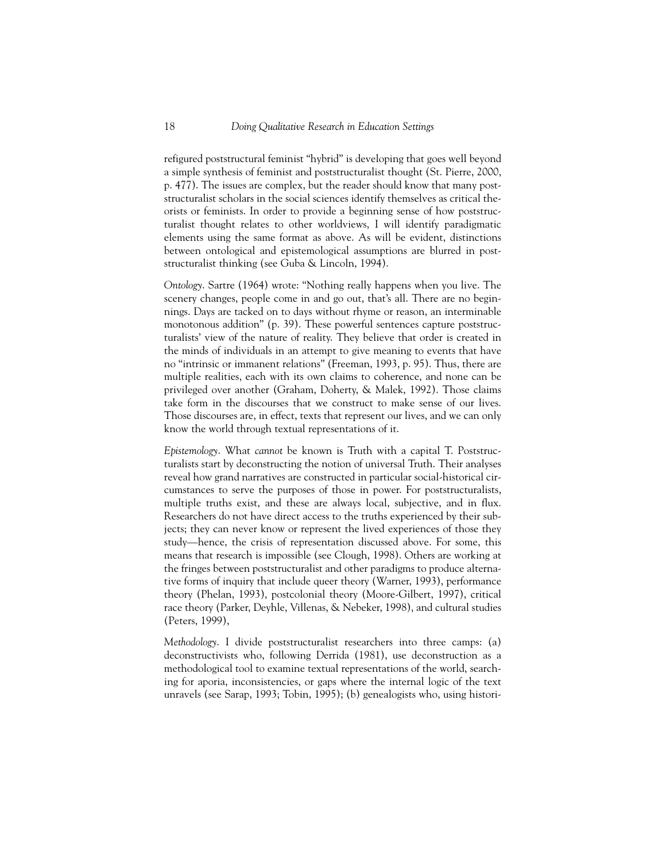refigured poststructural feminist "hybrid" is developing that goes well beyond a simple synthesis of feminist and poststructuralist thought (St. Pierre, 2000, p. 477). The issues are complex, but the reader should know that many poststructuralist scholars in the social sciences identify themselves as critical theorists or feminists. In order to provide a beginning sense of how poststructuralist thought relates to other worldviews, I will identify paradigmatic elements using the same format as above. As will be evident, distinctions between ontological and epistemological assumptions are blurred in poststructuralist thinking (see Guba & Lincoln, 1994).

*Ontology*. Sartre (1964) wrote: "Nothing really happens when you live. The scenery changes, people come in and go out, that's all. There are no beginnings. Days are tacked on to days without rhyme or reason, an interminable monotonous addition" (p. 39). These powerful sentences capture poststructuralists' view of the nature of reality. They believe that order is created in the minds of individuals in an attempt to give meaning to events that have no "intrinsic or immanent relations" (Freeman, 1993, p. 95). Thus, there are multiple realities, each with its own claims to coherence, and none can be privileged over another (Graham, Doherty, & Malek, 1992). Those claims take form in the discourses that we construct to make sense of our lives. Those discourses are, in effect, texts that represent our lives, and we can only know the world through textual representations of it.

*Epistemology*. What *cannot* be known is Truth with a capital T. Poststructuralists start by deconstructing the notion of universal Truth. Their analyses reveal how grand narratives are constructed in particular social-historical circumstances to serve the purposes of those in power. For poststructuralists, multiple truths exist, and these are always local, subjective, and in flux. Researchers do not have direct access to the truths experienced by their subjects; they can never know or represent the lived experiences of those they study—hence, the crisis of representation discussed above. For some, this means that research is impossible (see Clough, 1998). Others are working at the fringes between poststructuralist and other paradigms to produce alternative forms of inquiry that include queer theory (Warner, 1993), performance theory (Phelan, 1993), postcolonial theory (Moore-Gilbert, 1997), critical race theory (Parker, Deyhle, Villenas, & Nebeker, 1998), and cultural studies (Peters, 1999),

*Methodology*. I divide poststructuralist researchers into three camps: (a) deconstructivists who, following Derrida (1981), use deconstruction as a methodological tool to examine textual representations of the world, searching for aporia, inconsistencies, or gaps where the internal logic of the text unravels (see Sarap, 1993; Tobin, 1995); (b) genealogists who, using histori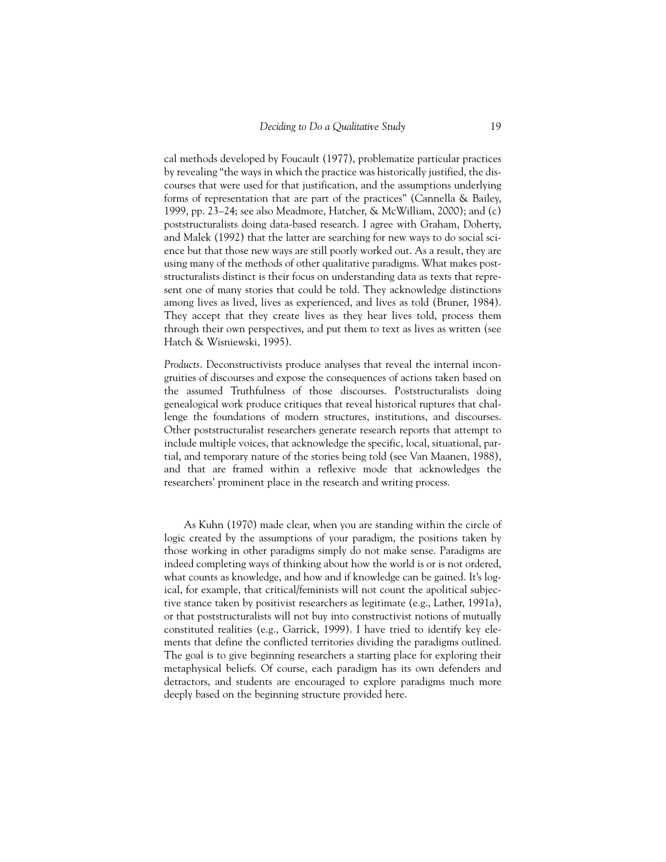cal methods developed by Foucault (1977), problematize particular practices by revealing "the ways in which the practice was historically justified, the discourses that were used for that justification, and the assumptions underlying forms of representation that are part of the practices" (Cannella & Bailey, 1999, pp. 23–24; see also Meadmore, Hatcher, & McWilliam, 2000); and (c) poststructuralists doing data-based research. I agree with Graham, Doherty, and Malek (1992) that the latter are searching for new ways to do social science but that those new ways are still poorly worked out. As a result, they are using many of the methods of other qualitative paradigms. What makes poststructuralists distinct is their focus on understanding data as texts that represent one of many stories that could be told. They acknowledge distinctions among lives as lived, lives as experienced, and lives as told (Bruner, 1984). They accept that they create lives as they hear lives told, process them through their own perspectives, and put them to text as lives as written (see Hatch & Wisniewski, 1995).

*Products*. Deconstructivists produce analyses that reveal the internal incongruities of discourses and expose the consequences of actions taken based on the assumed Truthfulness of those discourses. Poststructuralists doing genealogical work produce critiques that reveal historical ruptures that challenge the foundations of modern structures, institutions, and discourses. Other poststructuralist researchers generate research reports that attempt to include multiple voices, that acknowledge the specific, local, situational, partial, and temporary nature of the stories being told (see Van Maanen, 1988), and that are framed within a reflexive mode that acknowledges the researchers' prominent place in the research and writing process.

As Kuhn (1970) made clear, when you are standing within the circle of logic created by the assumptions of your paradigm, the positions taken by those working in other paradigms simply do not make sense. Paradigms are indeed completing ways of thinking about how the world is or is not ordered, what counts as knowledge, and how and if knowledge can be gained. It's logical, for example, that critical/feminists will not count the apolitical subjective stance taken by positivist researchers as legitimate (e.g., Lather, 1991a), or that poststructuralists will not buy into constructivist notions of mutually constituted realities (e.g., Garrick, 1999). I have tried to identify key elements that define the conflicted territories dividing the paradigms outlined. The goal is to give beginning researchers a starting place for exploring their metaphysical beliefs. Of course, each paradigm has its own defenders and detractors, and students are encouraged to explore paradigms much more deeply based on the beginning structure provided here.